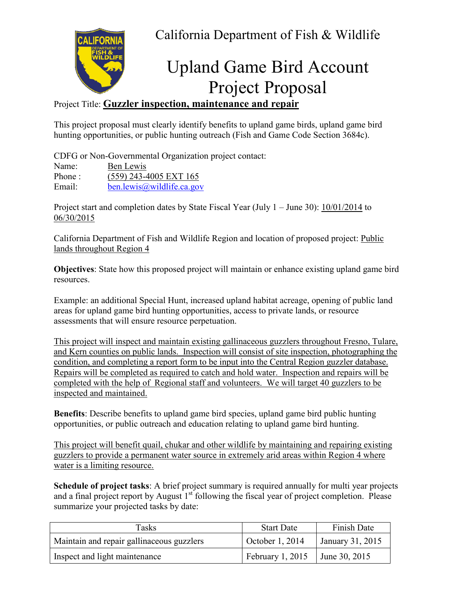

California Department of Fish & Wildlife

## Upland Game Bird Account Project Proposal

Project Title: Guzzler inspection, maintenance and repair

This project proposal must clearly identify benefits to upland game birds, upland game bird hunting opportunities, or public hunting outreach (Fish and Game Code Section 3684c).

CDFG or Non-Governmental Organization project contact: Name: Ben Lewis Phone : (559) 243-4005 EXT 165

Email: ben.lewis@wildlife.ca.gov

Project start a[nd completion dates b](mailto:blewis@dfg.ca.gov)y State Fiscal Year (July 1 – June 30): 10/01/2014 to 06/30/2015

California Department of Fish and Wildlife Region and location of proposed project: Public lands throughout Region 4

Objectives: State how this proposed project will maintain or enhance existing upland game bird resources.

Example: an additional Special Hunt, increased upland habitat acreage, opening of public land areas for upland game bird hunting opportunities, access to private lands, or resource assessments that will ensure resource perpetuation.

This project will inspect and maintain existing gallinaceous guzzlers throughout Fresno, Tulare, and Kern counties on public lands. Inspection will consist of site inspection, photographing the condition, and completing a report form to be input into the Central Region guzzler database. Repairs will be completed as required to catch and hold water. Inspection and repairs will be completed with the help of Regional staff and volunteers. We will target 40 guzzlers to be inspected and maintained.

Benefits: Describe benefits to upland game bird species, upland game bird public hunting opportunities, or public outreach and education relating to upland game bird hunting.

This project will benefit quail, chukar and other wildlife by maintaining and repairing existing guzzlers to provide a permanent water source in extremely arid areas within Region 4 where water is a limiting resource.

Schedule of project tasks: A brief project summary is required annually for multi year projects and a final project report by August  $1<sup>st</sup>$  following the fiscal year of project completion. Please summarize your projected tasks by date:

| Tasks                                     | <b>Start Date</b>                      | Finish Date      |
|-------------------------------------------|----------------------------------------|------------------|
| Maintain and repair gallinaceous guzzlers | October 1, 2014                        | January 31, 2015 |
| Inspect and light maintenance             | February 1, 2015 $\vert$ June 30, 2015 |                  |